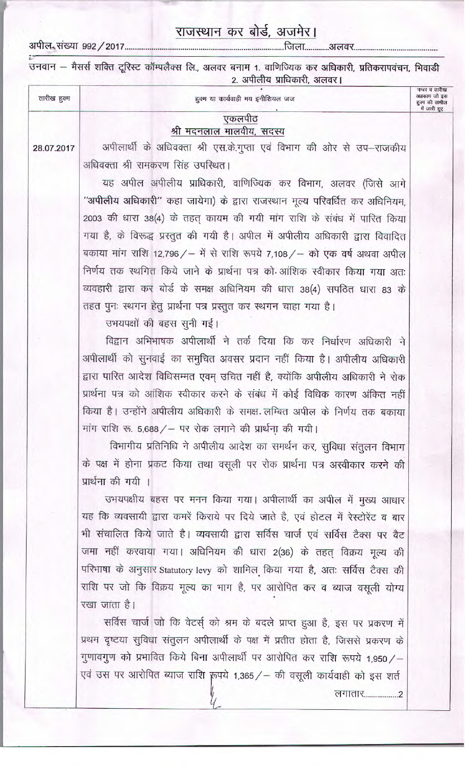## राजस्थान कर बोर्ड, अजमेर।

## 

| तारीख हुक्म | हुक्म या कार्यवाही मय इनीशियल जज                                                                                                                     | नम्बर व तारीख<br>अहकाम जो इस<br>हुक्म की तामील<br>में जारी हुए |
|-------------|------------------------------------------------------------------------------------------------------------------------------------------------------|----------------------------------------------------------------|
|             | एकलपीठ                                                                                                                                               |                                                                |
|             | श्री मदनलाल मालवीय, सदस्य                                                                                                                            |                                                                |
| 28.07.2017  | अपीलार्थी के अधिवक्ता श्री एस.के.गुप्ता एवं विभाग की ओर से उप–राजकीय                                                                                 |                                                                |
|             | अधिवक्ता श्री रामकरण सिंह उपस्थित।                                                                                                                   |                                                                |
|             | यह अपील अपीलीय प्राधिकारी, वाणिज्यिक कर विभाग, अलवर (जिसे आगे                                                                                        |                                                                |
|             | "अपीलीय अधिकारी" कहा जायेगा) के द्वारा राजस्थान मूल्य परिवर्धित कर अधिनियम,                                                                          |                                                                |
|             | 2003 की धारा 38(4) के तहत् कायम की गयी मांग राशि के संबंध में पारित किया                                                                             |                                                                |
|             | गया है, के विरूद्ध प्रस्तुत की गयी है। अपील में अपीलीय अधिकारी द्वारा विवादित                                                                        |                                                                |
|             | बकाया मांग राशि 12,796 / - में से राशि रूपये 7,108 / - को एक वर्ष अथवा अपील                                                                          |                                                                |
|             | निर्णय तक स्थगित किये जाने के प्रार्थना पत्र को आंशिक स्वीकार किया गया अतः                                                                           |                                                                |
|             | व्यवहारी द्वारा कर बोर्ड के समक्ष अधिनियम की धारा 38(4) सपठित धारा 83 के                                                                             |                                                                |
|             | तहत पुनः स्थगन हेतु प्रार्थना पत्र प्रस्तुत कर स्थगन चाहा गया है।                                                                                    |                                                                |
|             | उभयपक्षों की बहस सुनी गई।                                                                                                                            |                                                                |
|             | विद्वान अभिभाषक अपीलार्थी ने तर्क दिया कि कर निर्धारण अधिकारी ने                                                                                     |                                                                |
|             | अपीलार्थी को सुनवाई का समुचित अवसर प्रदान नहीं किया है। अपीलीय अधिकारी                                                                               |                                                                |
|             | द्वारा पारित आदेश विधिसम्मत एवम् उचित नहीं है, क्योंकि अपीलीय अधिकारी ने रोक                                                                         |                                                                |
|             | प्रार्थना पत्र को आंशिक स्वीकार करने के संबंध में कोई विधिक कारण अंकित नहीं                                                                          |                                                                |
|             | किया है। उन्होंने अपीलीय अधिकारी के समक्ष लम्बित अपील के निर्णय तक बकाया                                                                             |                                                                |
|             | मांग राशि रू. 5,688/ - पर रोक लगाने की प्रार्थना की गयी।                                                                                             |                                                                |
|             | विभागीय प्रतिनिधि ने अपीलीय आदेश का समर्थन कर, सुविधा संतुलन विभाग                                                                                   |                                                                |
|             | के पक्ष में होना प्रकट किया तथा वसूली पर रोक प्रार्थना पत्र अस्वीकार करने की<br>प्रार्थना की गयी ।                                                   |                                                                |
|             |                                                                                                                                                      |                                                                |
|             | उभयपक्षीय बहस पर मनन किया गया। अपीलार्थी का अपील में मुख्य आधार<br>यह कि व्यवसायी द्वारा कमरें किराये पर दिये जाते है, एवं होटल में रेस्टोरेंट व बार |                                                                |
|             | भी संचालित किये जाते है। व्यवसायी द्वारा सर्विस चार्ज एवं सर्विस टैक्स पर वैट                                                                        |                                                                |
|             | जमा नहीं करवाया गया। अधिनियम की धारा 2(36) के तहत् विक्रय मूल्य की                                                                                   |                                                                |
|             | परिभाषा के अनुसार Statutory levy को शामिल किया गया है, अतः सर्विस टैक्स की                                                                           |                                                                |
|             | राशि पर जो कि विक्रय मूल्य का भाग है, पर आरोपित कर व ब्याज वसूली योग्य                                                                               |                                                                |
|             | रखा जाता है।                                                                                                                                         |                                                                |
|             | सर्विस चार्ज जो कि वेटर्स् को श्रम के बदले प्राप्त हुआ है, इस पर प्रकरण में                                                                          |                                                                |
|             | प्रथम दृष्टया सुविधा संतुलन अपीलार्थी के पक्ष में प्रतीत होता है, जिससे प्रकरण के                                                                    |                                                                |
|             | गुणावगुण को प्रभावित किये बिना अपीलार्थी पर आरोपित कर राशि रूपये 1,950/—                                                                             |                                                                |
|             | एवं उस पर आरोपित ब्याज राशि रूपये 1,365 / - की वसूली कार्यवाही को इस शर्त                                                                            |                                                                |
|             | लगातार2                                                                                                                                              |                                                                |
|             |                                                                                                                                                      |                                                                |